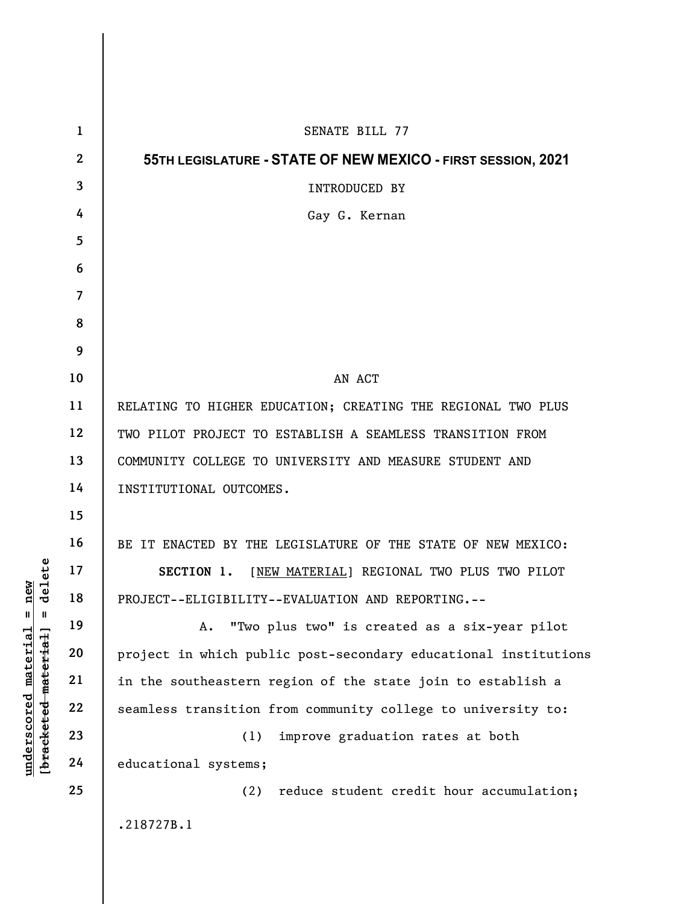|                                                                                               | $\mathbf{1}$   | SENATE BILL 77                                                  |
|-----------------------------------------------------------------------------------------------|----------------|-----------------------------------------------------------------|
| delete<br>$n$ ew<br>$\blacksquare$<br>$\mathbf{I}$<br><u>material</u><br>[bracketed material] | $\mathbf{2}$   | 55TH LEGISLATURE - STATE OF NEW MEXICO - FIRST SESSION, 2021    |
|                                                                                               | 3              | INTRODUCED BY                                                   |
|                                                                                               | 4              | Gay G. Kernan                                                   |
|                                                                                               | 5              |                                                                 |
|                                                                                               | 6              |                                                                 |
|                                                                                               | $\overline{7}$ |                                                                 |
|                                                                                               | 8              |                                                                 |
|                                                                                               | 9              |                                                                 |
|                                                                                               | 10             | AN ACT                                                          |
|                                                                                               | 11             | RELATING TO HIGHER EDUCATION; CREATING THE REGIONAL TWO PLUS    |
|                                                                                               | 12             | TWO PILOT PROJECT TO ESTABLISH A SEAMLESS TRANSITION FROM       |
|                                                                                               | 13             | COMMUNITY COLLEGE TO UNIVERSITY AND MEASURE STUDENT AND         |
|                                                                                               | 14             | INSTITUTIONAL OUTCOMES.                                         |
|                                                                                               | 15             |                                                                 |
|                                                                                               | 16             | BE IT ENACTED BY THE LEGISLATURE OF THE STATE OF NEW MEXICO:    |
|                                                                                               | 17             | [NEW MATERIAL] REGIONAL TWO PLUS TWO PILOT<br>SECTION 1.        |
|                                                                                               | 18             | PROJECT--ELIGIBILITY--EVALUATION AND REPORTING.--               |
|                                                                                               | 19             | "Two plus two" is created as a six-year pilot<br>A.             |
|                                                                                               | 20             | project in which public post-secondary educational institutions |
|                                                                                               | 21             | in the southeastern region of the state join to establish a     |
|                                                                                               | 22             | seamless transition from community college to university to:    |
| <u>underscored</u>                                                                            | 23             | improve graduation rates at both<br>(1)                         |
|                                                                                               | 24             | educational systems;                                            |
|                                                                                               | 25             | reduce student credit hour accumulation;<br>(2)                 |
|                                                                                               |                | .218727B.1                                                      |
|                                                                                               |                |                                                                 |

 $\overline{\phantom{a}}$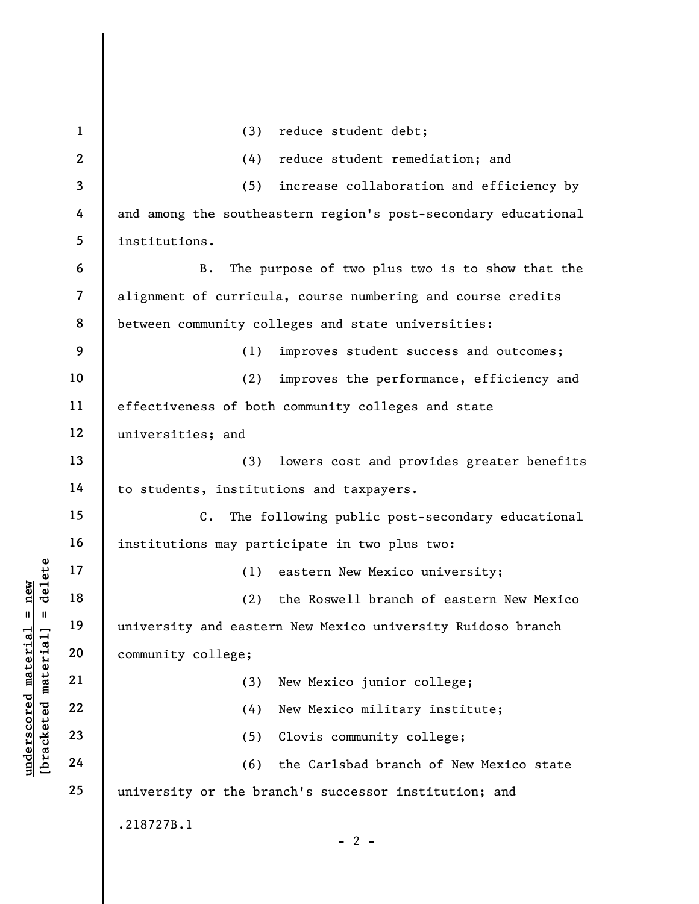underscore material material material material material material material material material material community college;<br>
and the community college;<br>
and the community college;<br>
(3)<br>
and the community college;<br>
(3)<br>
(4)<br>
(6 1 2 3 4 5 6 7 8 9 10 11 12 13 14 15 16 17 18 19 20 21 22 23 24 25 (3) reduce student debt; (4) reduce student remediation; and (5) increase collaboration and efficiency by and among the southeastern region's post-secondary educational institutions. B. The purpose of two plus two is to show that the alignment of curricula, course numbering and course credits between community colleges and state universities: (1) improves student success and outcomes; (2) improves the performance, efficiency and effectiveness of both community colleges and state universities; and (3) lowers cost and provides greater benefits to students, institutions and taxpayers. C. The following public post-secondary educational institutions may participate in two plus two: (1) eastern New Mexico university; (2) the Roswell branch of eastern New Mexico university and eastern New Mexico university Ruidoso branch community college; (3) New Mexico junior college; (4) New Mexico military institute; (5) Clovis community college; (6) the Carlsbad branch of New Mexico state university or the branch's successor institution; and .218727B.1  $- 2 -$